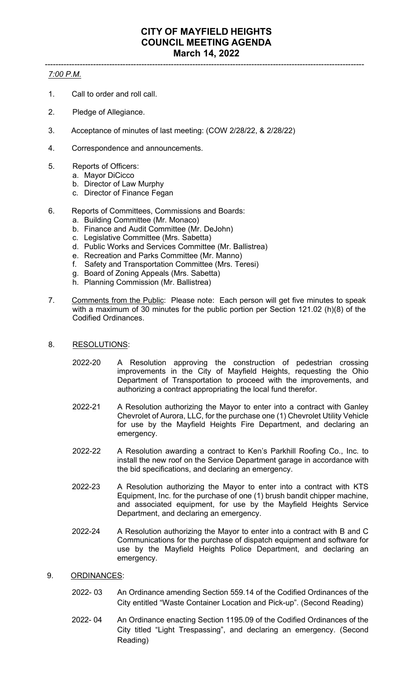## ----------------------------------------------------------------------------------------------------------------------- *7:00 P.M.*

- 1. Call to order and roll call.
- 2. Pledge of Allegiance.
- 3. Acceptance of minutes of last meeting: (COW 2/28/22, & 2/28/22)
- 4. Correspondence and announcements.
- 5. Reports of Officers:
	- a. Mayor DiCicco
	- b. Director of Law Murphy
	- c. Director of Finance Fegan
- 6. Reports of Committees, Commissions and Boards:
	- a. Building Committee (Mr. Monaco)
	- b. Finance and Audit Committee (Mr. DeJohn)
	- c. Legislative Committee (Mrs. Sabetta)
	- d. Public Works and Services Committee (Mr. Ballistrea)
	- e. Recreation and Parks Committee (Mr. Manno)
	- f. Safety and Transportation Committee (Mrs. Teresi)
	- g. Board of Zoning Appeals (Mrs. Sabetta)
	- h. Planning Commission (Mr. Ballistrea)
- 7. Comments from the Public: Please note: Each person will get five minutes to speak with a maximum of 30 minutes for the public portion per Section 121.02 (h)(8) of the Codified Ordinances.
- 8. RESOLUTIONS:
	- 2022-20 A Resolution approving the construction of pedestrian crossing improvements in the City of Mayfield Heights, requesting the Ohio Department of Transportation to proceed with the improvements, and authorizing a contract appropriating the local fund therefor.
	- 2022-21 A Resolution authorizing the Mayor to enter into a contract with Ganley Chevrolet of Aurora, LLC, for the purchase one (1) Chevrolet Utility Vehicle for use by the Mayfield Heights Fire Department, and declaring an emergency.
	- 2022-22 A Resolution awarding a contract to Ken's Parkhill Roofing Co., Inc. to install the new roof on the Service Department garage in accordance with the bid specifications, and declaring an emergency.
	- 2022-23 A Resolution authorizing the Mayor to enter into a contract with KTS Equipment, Inc. for the purchase of one (1) brush bandit chipper machine, and associated equipment, for use by the Mayfield Heights Service Department, and declaring an emergency.
	- 2022-24 A Resolution authorizing the Mayor to enter into a contract with B and C Communications for the purchase of dispatch equipment and software for use by the Mayfield Heights Police Department, and declaring an emergency.
- 9. ORDINANCES:
	- 2022- 03 An Ordinance amending Section 559.14 of the Codified Ordinances of the City entitled "Waste Container Location and Pick-up". (Second Reading)
	- 2022- 04 An Ordinance enacting Section 1195.09 of the Codified Ordinances of the City titled "Light Trespassing", and declaring an emergency. (Second Reading)